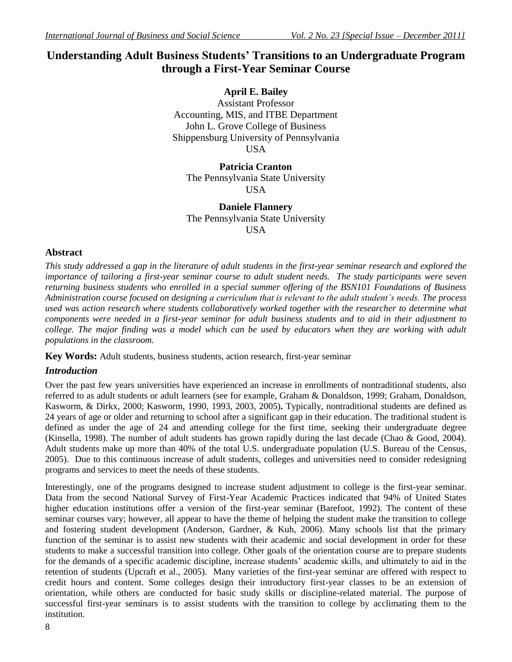# **Understanding Adult Business Students' Transitions to an Undergraduate Program through a First-Year Seminar Course**

**April E. Bailey** Assistant Professor Accounting, MIS, and ITBE Department John L. Grove College of Business Shippensburg University of Pennsylvania **USA** 

**Patricia Cranton** The Pennsylvania State University USA

**Daniele Flannery** The Pennsylvania State University USA

# **Abstract**

*This study addressed a gap in the literature of adult students in the first-year seminar research and explored the importance of tailoring a first-year seminar course to adult student needs. The study participants were seven returning business students who enrolled in a special summer offering of the BSN101 Foundations of Business Administration course focused on designing a curriculum that is relevant to the adult student's needs. The process used was action research where students collaboratively worked together with the researcher to determine what components were needed in a first-year seminar for adult business students and to aid in their adjustment to college. The major finding was a model which can be used by educators when they are working with adult populations in the classroom.*

**Key Words:** Adult students, business students, action research, first-year seminar

## *Introduction*

Over the past few years universities have experienced an increase in enrollments of nontraditional students, also referred to as adult students or adult learners (see for example, Graham & Donaldson, 1999; Graham, Donaldson, Kasworm, & Dirkx, 2000; Kasworm, 1990, 1993, 2003, 2005)**.** Typically, nontraditional students are defined as 24 years of age or older and returning to school after a significant gap in their education. The traditional student is defined as under the age of 24 and attending college for the first time, seeking their undergraduate degree (Kinsella, 1998). The number of adult students has grown rapidly during the last decade (Chao & Good, 2004). Adult students make up more than 40% of the total U.S. undergraduate population (U.S. Bureau of the Census, 2005). Due to this continuous increase of adult students, colleges and universities need to consider redesigning programs and services to meet the needs of these students.

Interestingly, one of the programs designed to increase student adjustment to college is the first-year seminar. Data from the second National Survey of First-Year Academic Practices indicated that 94% of United States higher education institutions offer a version of the first-year seminar (Barefoot, 1992). The content of these seminar courses vary; however, all appear to have the theme of helping the student make the transition to college and fostering student development (Anderson, Gardner, & Kuh, 2006). Many schools list that the primary function of the seminar is to assist new students with their academic and social development in order for these students to make a successful transition into college. Other goals of the orientation course are to prepare students for the demands of a specific academic discipline, increase students' academic skills, and ultimately to aid in the retention of students (Upcraft et al., 2005). Many varieties of the first-year seminar are offered with respect to credit hours and content. Some colleges design their introductory first-year classes to be an extension of orientation, while others are conducted for basic study skills or discipline-related material. The purpose of successful first-year seminars is to assist students with the transition to college by acclimating them to the institution.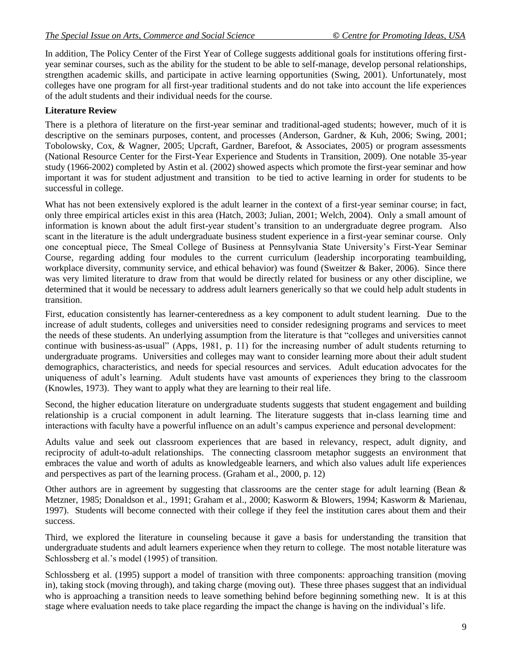In addition, The Policy Center of the First Year of College suggests additional goals for institutions offering firstyear seminar courses, such as the ability for the student to be able to self-manage, develop personal relationships, strengthen academic skills, and participate in active learning opportunities (Swing, 2001). Unfortunately, most colleges have one program for all first-year traditional students and do not take into account the life experiences of the adult students and their individual needs for the course.

### **Literature Review**

There is a plethora of literature on the first-year seminar and traditional-aged students; however, much of it is descriptive on the seminars purposes, content, and processes (Anderson, Gardner, & Kuh, 2006; Swing, 2001; Tobolowsky, Cox, & Wagner, 2005; Upcraft, Gardner, Barefoot, & Associates, 2005) or program assessments (National Resource Center for the First-Year Experience and Students in Transition, 2009). One notable 35-year study (1966-2002) completed by Astin et al. (2002) showed aspects which promote the first-year seminar and how important it was for student adjustment and transition to be tied to active learning in order for students to be successful in college.

What has not been extensively explored is the adult learner in the context of a first-year seminar course; in fact, only three empirical articles exist in this area (Hatch, 2003; Julian, 2001; Welch, 2004). Only a small amount of information is known about the adult first-year student"s transition to an undergraduate degree program. Also scant in the literature is the adult undergraduate business student experience in a first-year seminar course. Only one conceptual piece, The Smeal College of Business at Pennsylvania State University"s First-Year Seminar Course, regarding adding four modules to the current curriculum (leadership incorporating teambuilding, workplace diversity, community service, and ethical behavior) was found (Sweitzer & Baker, 2006). Since there was very limited literature to draw from that would be directly related for business or any other discipline, we determined that it would be necessary to address adult learners generically so that we could help adult students in transition.

First, education consistently has learner-centeredness as a key component to adult student learning. Due to the increase of adult students, colleges and universities need to consider redesigning programs and services to meet the needs of these students. An underlying assumption from the literature is that "colleges and universities cannot continue with business-as-usual" (Apps, 1981, p. 11) for the increasing number of adult students returning to undergraduate programs. Universities and colleges may want to consider learning more about their adult student demographics, characteristics, and needs for special resources and services. Adult education advocates for the uniqueness of adult"s learning. Adult students have vast amounts of experiences they bring to the classroom (Knowles, 1973). They want to apply what they are learning to their real life.

Second, the higher education literature on undergraduate students suggests that student engagement and building relationship is a crucial component in adult learning. The literature suggests that in-class learning time and interactions with faculty have a powerful influence on an adult"s campus experience and personal development:

Adults value and seek out classroom experiences that are based in relevancy, respect, adult dignity, and reciprocity of adult-to-adult relationships. The connecting classroom metaphor suggests an environment that embraces the value and worth of adults as knowledgeable learners, and which also values adult life experiences and perspectives as part of the learning process. (Graham et al., 2000, p. 12)

Other authors are in agreement by suggesting that classrooms are the center stage for adult learning (Bean  $\&$ Metzner, 1985; Donaldson et al., 1991; Graham et al., 2000; Kasworm & Blowers, 1994; Kasworm & Marienau, 1997). Students will become connected with their college if they feel the institution cares about them and their success.

Third, we explored the literature in counseling because it gave a basis for understanding the transition that undergraduate students and adult learners experience when they return to college. The most notable literature was Schlossberg et al.'s model (1995) of transition.

Schlossberg et al. (1995) support a model of transition with three components: approaching transition (moving in), taking stock (moving through), and taking charge (moving out). These three phases suggest that an individual who is approaching a transition needs to leave something behind before beginning something new. It is at this stage where evaluation needs to take place regarding the impact the change is having on the individual"s life.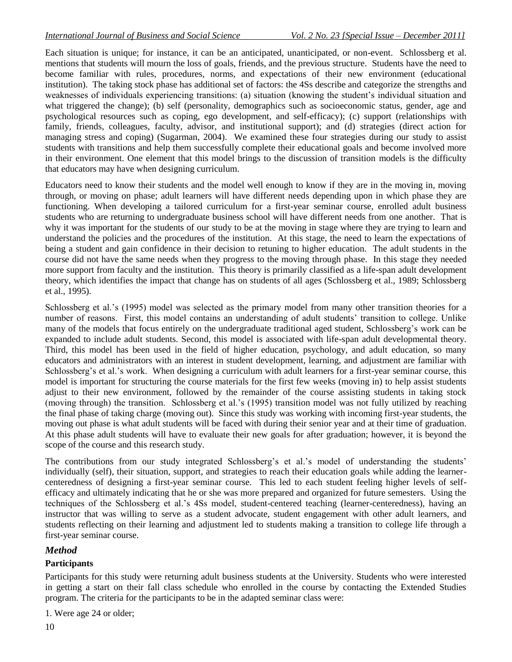Each situation is unique; for instance, it can be an anticipated, unanticipated, or non-event. Schlossberg et al. mentions that students will mourn the loss of goals, friends, and the previous structure. Students have the need to become familiar with rules, procedures, norms, and expectations of their new environment (educational institution). The taking stock phase has additional set of factors: the 4Ss describe and categorize the strengths and weaknesses of individuals experiencing transitions: (a) situation (knowing the student"s individual situation and what triggered the change); (b) self (personality, demographics such as socioeconomic status, gender, age and psychological resources such as coping, ego development, and self-efficacy); (c) support (relationships with family, friends, colleagues, faculty, advisor, and institutional support); and (d) strategies (direct action for managing stress and coping) (Sugarman, 2004). We examined these four strategies during our study to assist students with transitions and help them successfully complete their educational goals and become involved more in their environment. One element that this model brings to the discussion of transition models is the difficulty that educators may have when designing curriculum.

Educators need to know their students and the model well enough to know if they are in the moving in, moving through, or moving on phase; adult learners will have different needs depending upon in which phase they are functioning. When developing a tailored curriculum for a first-year seminar course, enrolled adult business students who are returning to undergraduate business school will have different needs from one another. That is why it was important for the students of our study to be at the moving in stage where they are trying to learn and understand the policies and the procedures of the institution. At this stage, the need to learn the expectations of being a student and gain confidence in their decision to retuning to higher education. The adult students in the course did not have the same needs when they progress to the moving through phase. In this stage they needed more support from faculty and the institution. This theory is primarily classified as a life-span adult development theory, which identifies the impact that change has on students of all ages (Schlossberg et al., 1989; Schlossberg et al., 1995).

Schlossberg et al."s (1995) model was selected as the primary model from many other transition theories for a number of reasons. First, this model contains an understanding of adult students" transition to college. Unlike many of the models that focus entirely on the undergraduate traditional aged student, Schlossberg"s work can be expanded to include adult students. Second, this model is associated with life-span adult developmental theory. Third, this model has been used in the field of higher education, psychology, and adult education, so many educators and administrators with an interest in student development, learning, and adjustment are familiar with Schlossberg's et al.'s work. When designing a curriculum with adult learners for a first-year seminar course, this model is important for structuring the course materials for the first few weeks (moving in) to help assist students adjust to their new environment, followed by the remainder of the course assisting students in taking stock (moving through) the transition. Schlossberg et al."s (1995) transition model was not fully utilized by reaching the final phase of taking charge (moving out)*.* Since this study was working with incoming first-year students, the moving out phase is what adult students will be faced with during their senior year and at their time of graduation. At this phase adult students will have to evaluate their new goals for after graduation; however, it is beyond the scope of the course and this research study.

The contributions from our study integrated Schlossberg's et al.'s model of understanding the students' individually (self), their situation, support, and strategies to reach their education goals while adding the learnercenteredness of designing a first-year seminar course. This led to each student feeling higher levels of selfefficacy and ultimately indicating that he or she was more prepared and organized for future semesters. Using the techniques of the Schlossberg et al."s 4Ss model, student-centered teaching (learner-centeredness), having an instructor that was willing to serve as a student advocate, student engagement with other adult learners, and students reflecting on their learning and adjustment led to students making a transition to college life through a first-year seminar course.

### *Method*

#### **Participants**

Participants for this study were returning adult business students at the University. Students who were interested in getting a start on their fall class schedule who enrolled in the course by contacting the Extended Studies program. The criteria for the participants to be in the adapted seminar class were:

1. Were age 24 or older;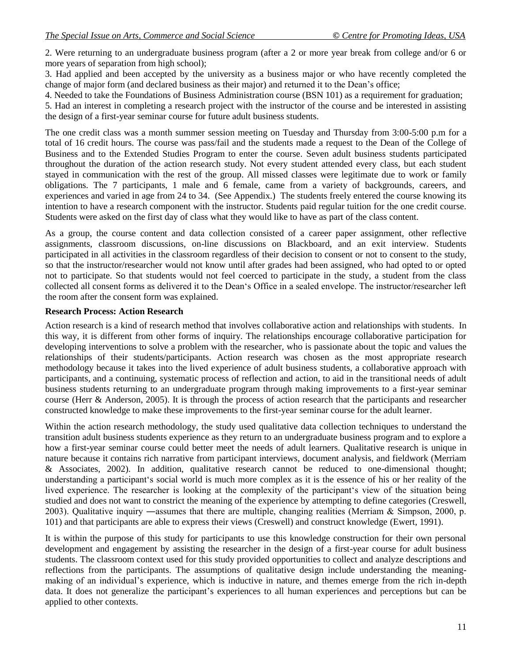2. Were returning to an undergraduate business program (after a 2 or more year break from college and/or 6 or more years of separation from high school);

3. Had applied and been accepted by the university as a business major or who have recently completed the change of major form (and declared business as their major) and returned it to the Dean"s office;

4. Needed to take the Foundations of Business Administration course (BSN 101) as a requirement for graduation;

5. Had an interest in completing a research project with the instructor of the course and be interested in assisting the design of a first-year seminar course for future adult business students.

The one credit class was a month summer session meeting on Tuesday and Thursday from 3:00-5:00 p.m for a total of 16 credit hours. The course was pass/fail and the students made a request to the Dean of the College of Business and to the Extended Studies Program to enter the course. Seven adult business students participated throughout the duration of the action research study. Not every student attended every class, but each student stayed in communication with the rest of the group. All missed classes were legitimate due to work or family obligations. The 7 participants, 1 male and 6 female, came from a variety of backgrounds, careers, and experiences and varied in age from 24 to 34. (See Appendix.) The students freely entered the course knowing its intention to have a research component with the instructor. Students paid regular tuition for the one credit course. Students were asked on the first day of class what they would like to have as part of the class content.

As a group, the course content and data collection consisted of a career paper assignment, other reflective assignments, classroom discussions, on-line discussions on Blackboard, and an exit interview. Students participated in all activities in the classroom regardless of their decision to consent or not to consent to the study, so that the instructor/researcher would not know until after grades had been assigned, who had opted to or opted not to participate. So that students would not feel coerced to participate in the study, a student from the class collected all consent forms as delivered it to the Dean"s Office in a sealed envelope. The instructor/researcher left the room after the consent form was explained.

#### **Research Process: Action Research**

Action research is a kind of research method that involves collaborative action and relationships with students. In this way, it is different from other forms of inquiry. The relationships encourage collaborative participation for developing interventions to solve a problem with the researcher, who is passionate about the topic and values the relationships of their students/participants. Action research was chosen as the most appropriate research methodology because it takes into the lived experience of adult business students, a collaborative approach with participants, and a continuing, systematic process of reflection and action, to aid in the transitional needs of adult business students returning to an undergraduate program through making improvements to a first-year seminar course (Herr & Anderson, 2005). It is through the process of action research that the participants and researcher constructed knowledge to make these improvements to the first-year seminar course for the adult learner.

Within the action research methodology, the study used qualitative data collection techniques to understand the transition adult business students experience as they return to an undergraduate business program and to explore a how a first-year seminar course could better meet the needs of adult learners. Qualitative research is unique in nature because it contains rich narrative from participant interviews, document analysis, and fieldwork (Merriam & Associates, 2002). In addition, qualitative research cannot be reduced to one-dimensional thought; understanding a participant"s social world is much more complex as it is the essence of his or her reality of the lived experience. The researcher is looking at the complexity of the participant"s view of the situation being studied and does not want to constrict the meaning of the experience by attempting to define categories (Creswell, 2003). Qualitative inquiry ―assumes that there are multiple, changing realities (Merriam & Simpson, 2000, p. 101) and that participants are able to express their views (Creswell) and construct knowledge (Ewert, 1991).

It is within the purpose of this study for participants to use this knowledge construction for their own personal development and engagement by assisting the researcher in the design of a first-year course for adult business students. The classroom context used for this study provided opportunities to collect and analyze descriptions and reflections from the participants. The assumptions of qualitative design include understanding the meaningmaking of an individual"s experience, which is inductive in nature, and themes emerge from the rich in-depth data. It does not generalize the participant's experiences to all human experiences and perceptions but can be applied to other contexts.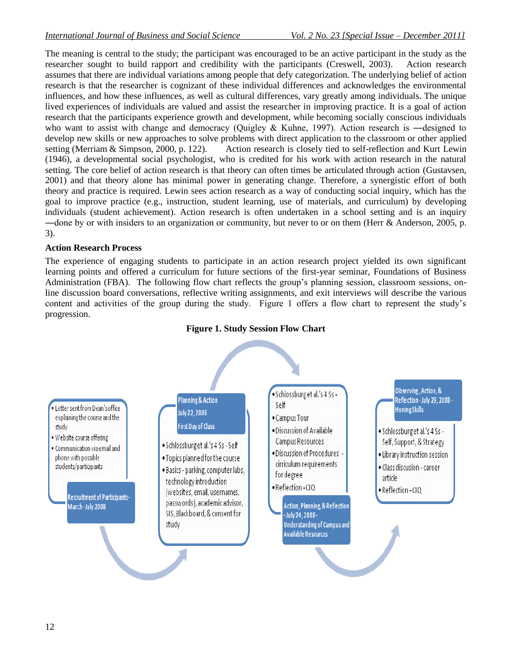The meaning is central to the study; the participant was encouraged to be an active participant in the study as the researcher sought to build rapport and credibility with the participants (Creswell, 2003). Action research assumes that there are individual variations among people that defy categorization. The underlying belief of action research is that the researcher is cognizant of these individual differences and acknowledges the environmental influences, and how these influences, as well as cultural differences, vary greatly among individuals. The unique lived experiences of individuals are valued and assist the researcher in improving practice. It is a goal of action research that the participants experience growth and development, while becoming socially conscious individuals who want to assist with change and democracy (Quigley & Kuhne, 1997). Action research is —designed to develop new skills or new approaches to solve problems with direct application to the classroom or other applied setting (Merriam & Simpson, 2000, p. 122). Action research is closely tied to self-reflection and Kurt Lewin (1946), a developmental social psychologist, who is credited for his work with action research in the natural setting. The core belief of action research is that theory can often times be articulated through action (Gustavsen, 2001) and that theory alone has minimal power in generating change. Therefore, a synergistic effort of both theory and practice is required. Lewin sees action research as a way of conducting social inquiry, which has the goal to improve practice (e.g., instruction, student learning, use of materials, and curriculum) by developing individuals (student achievement). Action research is often undertaken in a school setting and is an inquiry —done by or with insiders to an organization or community, but never to or on them (Herr & Anderson, 2005, p. 3).

#### **Action Research Process**

The experience of engaging students to participate in an action research project yielded its own significant learning points and offered a curriculum for future sections of the first-year seminar, Foundations of Business Administration (FBA). The following flow chart reflects the group's planning session, classroom sessions, online discussion board conversations, reflective writing assignments, and exit interviews will describe the various content and activities of the group during the study. Figure 1 offers a flow chart to represent the study's progression.



#### **Figure 1. Study Session Flow Chart**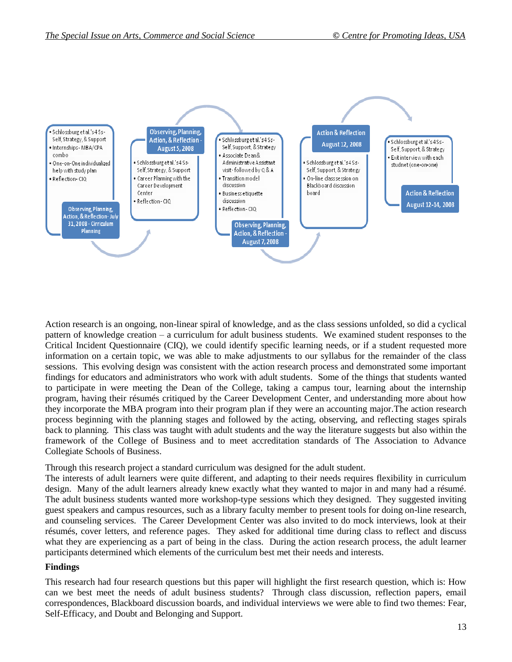

Action research is an ongoing, non-linear spiral of knowledge, and as the class sessions unfolded, so did a cyclical pattern of knowledge creation – a curriculum for adult business students. We examined student responses to the Critical Incident Questionnaire (CIQ), we could identify specific learning needs, or if a student requested more information on a certain topic, we was able to make adjustments to our syllabus for the remainder of the class sessions. This evolving design was consistent with the action research process and demonstrated some important findings for educators and administrators who work with adult students. Some of the things that students wanted to participate in were meeting the Dean of the College, taking a campus tour, learning about the internship program, having their résumés critiqued by the Career Development Center, and understanding more about how they incorporate the MBA program into their program plan if they were an accounting major.The action research process beginning with the planning stages and followed by the acting, observing, and reflecting stages spirals back to planning. This class was taught with adult students and the way the literature suggests but also within the framework of the College of Business and to meet accreditation standards of The Association to Advance Collegiate Schools of Business.

Through this research project a standard curriculum was designed for the adult student.

The interests of adult learners were quite different, and adapting to their needs requires flexibility in curriculum design. Many of the adult learners already knew exactly what they wanted to major in and many had a résumé. The adult business students wanted more workshop-type sessions which they designed. They suggested inviting guest speakers and campus resources, such as a library faculty member to present tools for doing on-line research, and counseling services. The Career Development Center was also invited to do mock interviews, look at their résumés, cover letters, and reference pages. They asked for additional time during class to reflect and discuss what they are experiencing as a part of being in the class. During the action research process, the adult learner participants determined which elements of the curriculum best met their needs and interests.

#### **Findings**

This research had four research questions but this paper will highlight the first research question, which is: How can we best meet the needs of adult business students? Through class discussion, reflection papers, email correspondences, Blackboard discussion boards, and individual interviews we were able to find two themes: Fear, Self-Efficacy, and Doubt and Belonging and Support.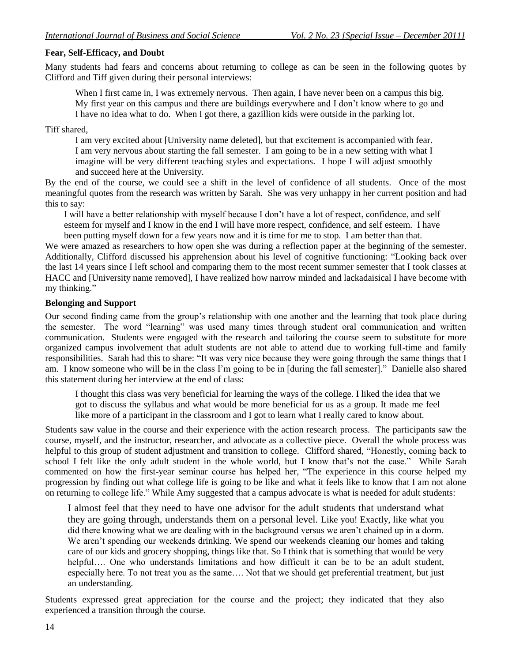#### **Fear, Self-Efficacy, and Doubt**

Many students had fears and concerns about returning to college as can be seen in the following quotes by Clifford and Tiff given during their personal interviews:

When I first came in, I was extremely nervous. Then again, I have never been on a campus this big. My first year on this campus and there are buildings everywhere and I don"t know where to go and I have no idea what to do. When I got there, a gazillion kids were outside in the parking lot.

Tiff shared,

I am very excited about [University name deleted], but that excitement is accompanied with fear. I am very nervous about starting the fall semester. I am going to be in a new setting with what I imagine will be very different teaching styles and expectations. I hope I will adjust smoothly and succeed here at the University.

By the end of the course, we could see a shift in the level of confidence of all students. Once of the most meaningful quotes from the research was written by Sarah. She was very unhappy in her current position and had this to say:

I will have a better relationship with myself because I don"t have a lot of respect, confidence, and self esteem for myself and I know in the end I will have more respect, confidence, and self esteem. I have been putting myself down for a few years now and it is time for me to stop. I am better than that.

We were amazed as researchers to how open she was during a reflection paper at the beginning of the semester. Additionally, Clifford discussed his apprehension about his level of cognitive functioning: "Looking back over the last 14 years since I left school and comparing them to the most recent summer semester that I took classes at HACC and [University name removed], I have realized how narrow minded and lackadaisical I have become with my thinking."

#### **Belonging and Support**

Our second finding came from the group"s relationship with one another and the learning that took place during the semester. The word "learning" was used many times through student oral communication and written communication. Students were engaged with the research and tailoring the course seem to substitute for more organized campus involvement that adult students are not able to attend due to working full-time and family responsibilities. Sarah had this to share: "It was very nice because they were going through the same things that I am. I know someone who will be in the class I"m going to be in [during the fall semester]." Danielle also shared this statement during her interview at the end of class:

I thought this class was very beneficial for learning the ways of the college. I liked the idea that we got to discuss the syllabus and what would be more beneficial for us as a group. It made me feel like more of a participant in the classroom and I got to learn what I really cared to know about.

Students saw value in the course and their experience with the action research process. The participants saw the course, myself, and the instructor, researcher, and advocate as a collective piece. Overall the whole process was helpful to this group of student adjustment and transition to college. Clifford shared, "Honestly, coming back to school I felt like the only adult student in the whole world, but I know that"s not the case." While Sarah commented on how the first-year seminar course has helped her, "The experience in this course helped my progression by finding out what college life is going to be like and what it feels like to know that I am not alone on returning to college life." While Amy suggested that a campus advocate is what is needed for adult students:

I almost feel that they need to have one advisor for the adult students that understand what they are going through, understands them on a personal level. Like you! Exactly, like what you did there knowing what we are dealing with in the background versus we aren"t chained up in a dorm. We aren't spending our weekends drinking. We spend our weekends cleaning our homes and taking care of our kids and grocery shopping, things like that. So I think that is something that would be very helpful.... One who understands limitations and how difficult it can be to be an adult student, especially here. To not treat you as the same…. Not that we should get preferential treatment, but just an understanding.

Students expressed great appreciation for the course and the project; they indicated that they also experienced a transition through the course.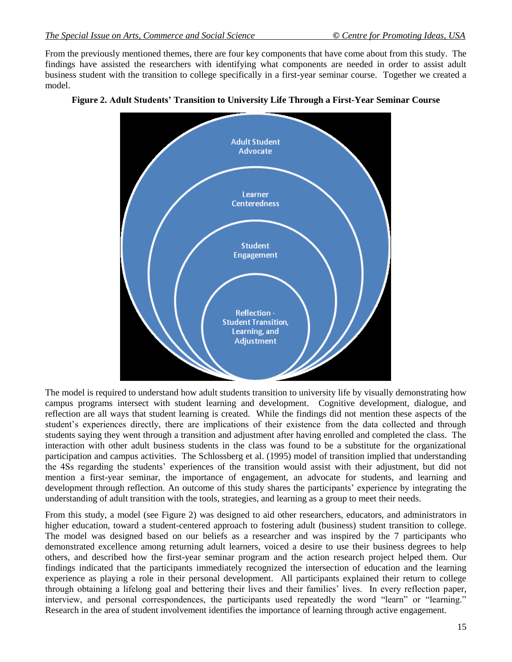From the previously mentioned themes, there are four key components that have come about from this study. The findings have assisted the researchers with identifying what components are needed in order to assist adult business student with the transition to college specifically in a first-year seminar course. Together we created a model.





The model is required to understand how adult students transition to university life by visually demonstrating how campus programs intersect with student learning and development. Cognitive development, dialogue, and reflection are all ways that student learning is created. While the findings did not mention these aspects of the student"s experiences directly, there are implications of their existence from the data collected and through students saying they went through a transition and adjustment after having enrolled and completed the class. The interaction with other adult business students in the class was found to be a substitute for the organizational participation and campus activities. The Schlossberg et al. (1995) model of transition implied that understanding the 4Ss regarding the students" experiences of the transition would assist with their adjustment, but did not mention a first-year seminar, the importance of engagement, an advocate for students, and learning and development through reflection. An outcome of this study shares the participants" experience by integrating the understanding of adult transition with the tools, strategies, and learning as a group to meet their needs.

From this study, a model (see Figure 2) was designed to aid other researchers, educators, and administrators in higher education, toward a student-centered approach to fostering adult (business) student transition to college. The model was designed based on our beliefs as a researcher and was inspired by the 7 participants who demonstrated excellence among returning adult learners, voiced a desire to use their business degrees to help others, and described how the first-year seminar program and the action research project helped them. Our findings indicated that the participants immediately recognized the intersection of education and the learning experience as playing a role in their personal development. All participants explained their return to college through obtaining a lifelong goal and bettering their lives and their families" lives. In every reflection paper, interview, and personal correspondences, the participants used repeatedly the word "learn" or "learning." Research in the area of student involvement identifies the importance of learning through active engagement.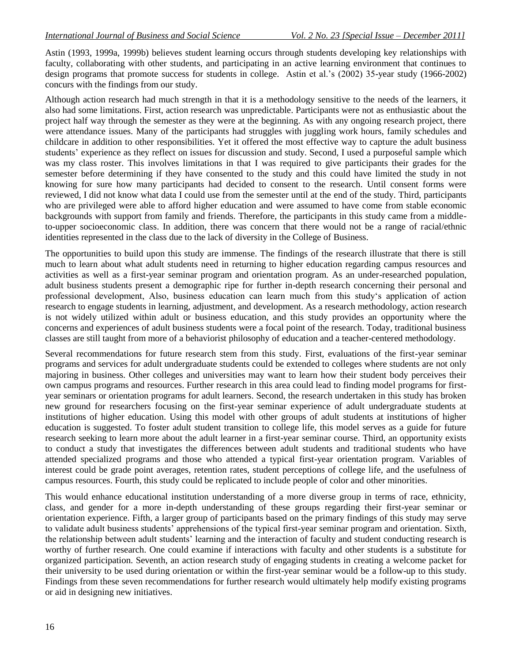Astin (1993, 1999a, 1999b) believes student learning occurs through students developing key relationships with faculty, collaborating with other students, and participating in an active learning environment that continues to design programs that promote success for students in college. Astin et al."s (2002) 35-year study (1966-2002) concurs with the findings from our study.

Although action research had much strength in that it is a methodology sensitive to the needs of the learners, it also had some limitations. First, action research was unpredictable. Participants were not as enthusiastic about the project half way through the semester as they were at the beginning. As with any ongoing research project, there were attendance issues. Many of the participants had struggles with juggling work hours, family schedules and childcare in addition to other responsibilities. Yet it offered the most effective way to capture the adult business students" experience as they reflect on issues for discussion and study. Second, I used a purposeful sample which was my class roster. This involves limitations in that I was required to give participants their grades for the semester before determining if they have consented to the study and this could have limited the study in not knowing for sure how many participants had decided to consent to the research. Until consent forms were reviewed, I did not know what data I could use from the semester until at the end of the study. Third, participants who are privileged were able to afford higher education and were assumed to have come from stable economic backgrounds with support from family and friends. Therefore, the participants in this study came from a middleto-upper socioeconomic class. In addition, there was concern that there would not be a range of racial/ethnic identities represented in the class due to the lack of diversity in the College of Business.

The opportunities to build upon this study are immense. The findings of the research illustrate that there is still much to learn about what adult students need in returning to higher education regarding campus resources and activities as well as a first-year seminar program and orientation program. As an under-researched population, adult business students present a demographic ripe for further in-depth research concerning their personal and professional development, Also, business education can learn much from this study"s application of action research to engage students in learning, adjustment, and development. As a research methodology, action research is not widely utilized within adult or business education, and this study provides an opportunity where the concerns and experiences of adult business students were a focal point of the research. Today, traditional business classes are still taught from more of a behaviorist philosophy of education and a teacher-centered methodology.

Several recommendations for future research stem from this study. First, evaluations of the first-year seminar programs and services for adult undergraduate students could be extended to colleges where students are not only majoring in business. Other colleges and universities may want to learn how their student body perceives their own campus programs and resources. Further research in this area could lead to finding model programs for firstyear seminars or orientation programs for adult learners. Second, the research undertaken in this study has broken new ground for researchers focusing on the first-year seminar experience of adult undergraduate students at institutions of higher education. Using this model with other groups of adult students at institutions of higher education is suggested. To foster adult student transition to college life, this model serves as a guide for future research seeking to learn more about the adult learner in a first-year seminar course. Third, an opportunity exists to conduct a study that investigates the differences between adult students and traditional students who have attended specialized programs and those who attended a typical first-year orientation program. Variables of interest could be grade point averages, retention rates, student perceptions of college life, and the usefulness of campus resources. Fourth, this study could be replicated to include people of color and other minorities.

This would enhance educational institution understanding of a more diverse group in terms of race, ethnicity, class, and gender for a more in-depth understanding of these groups regarding their first-year seminar or orientation experience. Fifth, a larger group of participants based on the primary findings of this study may serve to validate adult business students' apprehensions of the typical first-year seminar program and orientation. Sixth, the relationship between adult students" learning and the interaction of faculty and student conducting research is worthy of further research. One could examine if interactions with faculty and other students is a substitute for organized participation. Seventh, an action research study of engaging students in creating a welcome packet for their university to be used during orientation or within the first-year seminar would be a follow-up to this study. Findings from these seven recommendations for further research would ultimately help modify existing programs or aid in designing new initiatives.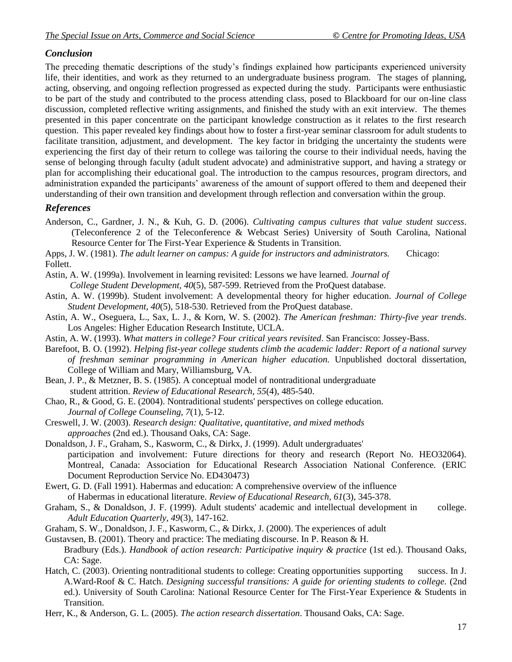## *Conclusion*

The preceding thematic descriptions of the study"s findings explained how participants experienced university life, their identities, and work as they returned to an undergraduate business program. The stages of planning, acting, observing, and ongoing reflection progressed as expected during the study. Participants were enthusiastic to be part of the study and contributed to the process attending class, posed to Blackboard for our on-line class discussion, completed reflective writing assignments, and finished the study with an exit interview. The themes presented in this paper concentrate on the participant knowledge construction as it relates to the first research question. This paper revealed key findings about how to foster a first-year seminar classroom for adult students to facilitate transition, adjustment, and development. The key factor in bridging the uncertainty the students were experiencing the first day of their return to college was tailoring the course to their individual needs, having the sense of belonging through faculty (adult student advocate) and administrative support, and having a strategy or plan for accomplishing their educational goal. The introduction to the campus resources, program directors, and administration expanded the participants" awareness of the amount of support offered to them and deepened their understanding of their own transition and development through reflection and conversation within the group.

## *References*

Anderson, C., Gardner, J. N., & Kuh, G. D. (2006). *Cultivating campus cultures that value student success*. (Teleconference 2 of the Teleconference & Webcast Series) University of South Carolina, National Resource Center for The First-Year Experience & Students in Transition.

Apps, J. W. (1981). *The adult learner on campus: A guide for instructors and administrators.* Chicago: Follett.

Astin, A. W. (1999a). Involvement in learning revisited: Lessons we have learned. *Journal of College Student Development, 40*(5), 587-599. Retrieved from the ProQuest database.

Astin, A. W. (1999b). Student involvement: A developmental theory for higher education. *Journal of College Student Development, 40*(5), 518-530. Retrieved from the ProQuest database.

Astin, A. W., Oseguera, L., Sax, L. J., & Korn, W. S. (2002). *The American freshman: Thirty-five year trends*. Los Angeles: Higher Education Research Institute, UCLA.

Astin, A. W. (1993). *What matters in college? Four critical years revisited*. San Francisco: Jossey-Bass.

- Barefoot, B. O. (1992). *Helping fist-year college students climb the academic ladder: Report of a national survey of freshman seminar programming in American higher education.* Unpublished doctoral dissertation, College of William and Mary, Williamsburg, VA.
- Bean, J. P., & Metzner, B. S. (1985). A conceptual model of nontraditional undergraduate student attrition. *Review of Educational Research, 55*(4), 485-540.
- Chao, R., & Good, G. E. (2004). Nontraditional students' perspectives on college education. *Journal of College Counseling, 7*(1), 5-12.
- Creswell, J. W. (2003). *Research design: Qualitative, quantitative, and mixed methods approaches* (2nd ed.). Thousand Oaks, CA: Sage.

Donaldson, J. F., Graham, S., Kasworm, C., & Dirkx, J. (1999). Adult undergraduates' participation and involvement: Future directions for theory and research (Report No. HEO32064). Montreal, Canada: Association for Educational Research Association National Conference. (ERIC Document Reproduction Service No. ED430473)

Ewert, G. D. (Fall 1991). Habermas and education: A comprehensive overview of the influence of Habermas in educational literature. *Review of Educational Research, 61*(3), 345-378.

Graham, S., & Donaldson, J. F. (1999). Adult students' academic and intellectual development in college. *Adult Education Quarterly, 49*(3), 147-162.

Graham, S. W., Donaldson, J. F., Kasworm, C., & Dirkx, J. (2000). The experiences of adult

Gustavsen, B. (2001). Theory and practice: The mediating discourse. In P. Reason & H. Bradbury (Eds.). *Handbook of action research: Participative inquiry & practice* (1st ed.). Thousand Oaks, CA: Sage.

Hatch, C. (2003). Orienting nontraditional students to college: Creating opportunities supporting success. In J. A.Ward-Roof & C. Hatch. *Designing successful transitions: A guide for orienting students to college.* (2nd ed.). University of South Carolina: National Resource Center for The First-Year Experience & Students in Transition.

Herr, K., & Anderson, G. L. (2005). *The action research dissertation*. Thousand Oaks, CA: Sage.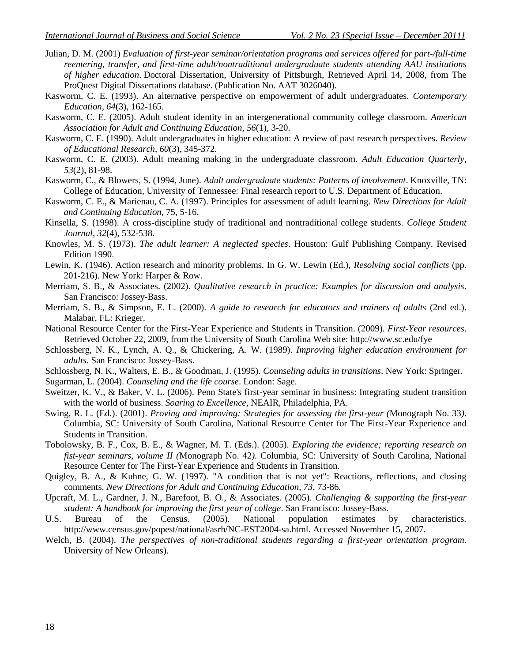- Julian, D. M. (2001) *Evaluation of first-year seminar/orientation programs and services offered for part-/full-time reentering, transfer, and first-time adult/nontraditional undergraduate students attending AAU institutions of higher education*. Doctoral Dissertation, University of Pittsburgh, Retrieved April 14, 2008, from The ProQuest Digital Dissertations database. (Publication No. AAT 3026040).
- Kasworm, C. E. (1993). An alternative perspective on empowerment of adult undergraduates. *Contemporary Education, 64*(3), 162-165.
- Kasworm, C. E. (2005). Adult student identity in an intergenerational community college classroom. *American Association for Adult and Continuing Education, 56*(1), 3-20.
- Kasworm, C. E. (1990). Adult undergraduates in higher education: A review of past research perspectives. *Review of Educational Research, 60*(3), 345-372.
- Kasworm, C. E. (2003). Adult meaning making in the undergraduate classroom. *Adult Education Quarterly, 53*(2), 81-98.
- Kasworm, C., & Blowers, S. (1994, June). *Adult undergraduate students: Patterns of involvement*. Knoxville, TN: College of Education, University of Tennessee: Final research report to U.S. Department of Education.
- Kasworm, C. E., & Marienau, C. A. (1997). Principles for assessment of adult learning. *New Directions for Adult and Continuing Education,* 75, 5-16.
- Kinsella, S. (1998). A cross-discipline study of traditional and nontraditional college students. *College Student Journal, 32*(4), 532-538.
- Knowles, M. S. (1973). *The adult learner: A neglected species*. Houston: Gulf Publishing Company. Revised Edition 1990.
- Lewin, K. (1946). Action research and minority problems. In G. W. Lewin (Ed.), *Resolving social conflicts* (pp. 201-216). New York: Harper & Row.
- Merriam, S. B., & Associates. (2002). *Qualitative research in practice: Examples for discussion and analysis*. San Francisco: Jossey-Bass.
- Merriam, S. B., & Simpson, E. L. (2000). *A guide to research for educators and trainers of adults* (2nd ed.). Malabar, FL: Krieger.
- National Resource Center for the First-Year Experience and Students in Transition. (2009). *First-Year resources*. Retrieved October 22, 2009, from the University of South Carolina Web site: http://www.sc.edu/fye
- Schlossberg, N. K., Lynch, A. Q., & Chickering, A. W. (1989). *Improving higher education environment for adults*. San Francisco: Jossey-Bass.
- Schlossberg, N. K., Walters, E. B., & Goodman, J. (1995). *Counseling adults in transitions*. New York: Springer.
- Sugarman, L. (2004). *Counseling and the life course*. London: Sage.
- Sweitzer, K. V., & Baker, V. L. (2006). Penn State's first-year seminar in business: Integrating student transition with the world of business. *Soaring to Excellence,* NEAIR, Philadelphia, PA.
- Swing, R. L. (Ed.). (2001). *Proving and improving: Strategies for assessing the first-year (*Monograph No. 33*)*. Columbia, SC: University of South Carolina, National Resource Center for The First-Year Experience and Students in Transition.
- Tobolowsky, B. F., Cox, B. E., & Wagner, M. T. (Eds.). (2005). *Exploring the evidence; reporting research on fist-year seminars, volume II (*Monograph No. 42*)*. Columbia, SC: University of South Carolina, National Resource Center for The First-Year Experience and Students in Transition.
- Quigley, B. A., & Kuhne, G. W. (1997). "A condition that is not yet": Reactions, reflections, and closing comments. *New Directions for Adult and Continuing Education, 73,* 73-86*.*
- Upcraft, M. L., Gardner, J. N., Barefoot, B. O., & Associates. (2005). *Challenging & supporting the first-year student: A handbook for improving the first year of college*. San Francisco: Jossey-Bass.
- U.S. Bureau of the Census. (2005). National population estimates by characteristics. http://www.census.gov/popest/national/asrh/NC-EST2004-sa.html. Accessed November 15, 2007.
- Welch, B. (2004). *The perspectives of non-traditional students regarding a first-year orientation program*. University of New Orleans).